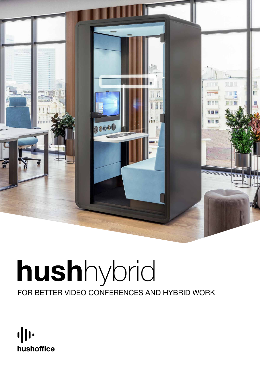

# hushhybrid For better video conferences and hybrid work

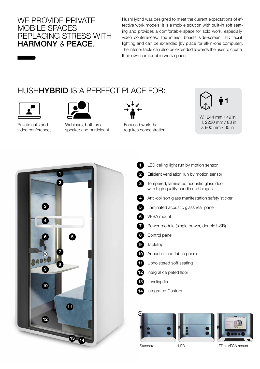#### We provide PRIVATE mobile spaces, RFPI ACING STRESS WITH harmony & peace.

HushHybrid was designed to meet the current expectations of effective work models. It is a mobile solution with built-in soft seating and provides a comfortable space for solo work, especially video conferences. The interior boasts side-screen LED facial lighting and can be extended [by place for all-in-one computer]. The interior table can also be extended towards the user to create their own comfortable work space.

### HUSH**HYBRID** IS A PERFECT PLACE FOR:





Private calls and video conferences

Webinars, both as a speaker and participant



Focused work that requires concentration



W.1244 mm / 49 in H. 2230 mm / 88 in D. 900 mm / 35 in



**1** LED ceiling light run by motion sensor 2 Efficient ventilation run by motion sensor 3 Tempered, laminated acoustic glass door with high quality handle and hinges 4 Anti-collison glass manifestation safety sticker 5 Laminated acoustic glass rear panel VESA mount 7 Power module (single power, double USB) 8 Control panel **Tabletop** 10 Acoustic lined fabric panels **11** Upholstered soft seating 12 Integral carpeted floor Leveling feet Integrated Castors